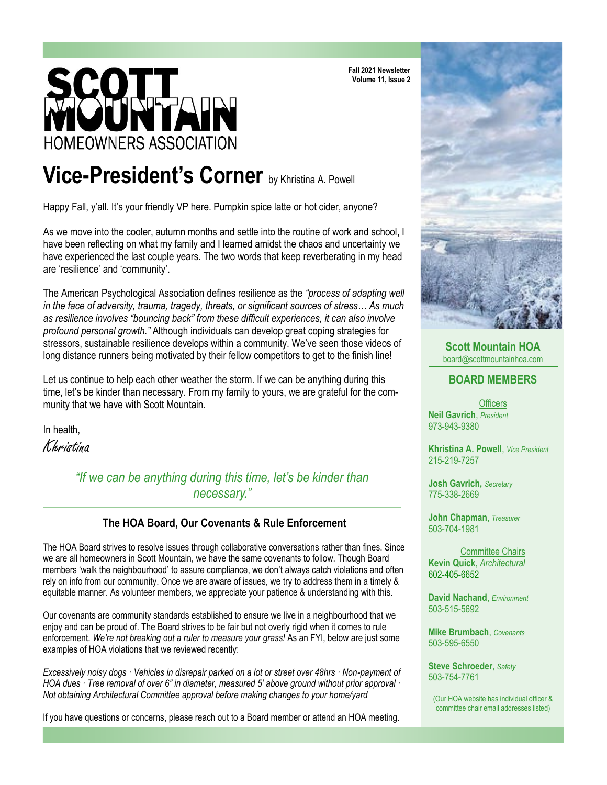# **HOMEOWNERS ASSOCIATION**

**Fall 2021 Newsletter Volume 11, Issue 2**

# **Vice-President's Corner** by Khristina A. Powell

Happy Fall, y'all. It's your friendly VP here. Pumpkin spice latte or hot cider, anyone?

As we move into the cooler, autumn months and settle into the routine of work and school, I have been reflecting on what my family and I learned amidst the chaos and uncertainty we have experienced the last couple years. The two words that keep reverberating in my head are 'resilience' and 'community'.

The American Psychological Association defines resilience as the *"process of adapting well in the face of adversity, trauma, tragedy, threats, or significant sources of stress… As much as resilience involves "bouncing back" from these difficult experiences, it can also involve profound personal growth."* Although individuals can develop great coping strategies for stressors, sustainable resilience develops within a community. We've seen those videos of long distance runners being motivated by their fellow competitors to get to the finish line!

Let us continue to help each other weather the storm. If we can be anything during this time, let's be kinder than necessary. From my family to yours, we are grateful for the community that we have with Scott Mountain.

In health,

Khristina

*"If we can be anything during this time, let's be kinder than necessary."*

#### **The HOA Board, Our Covenants & Rule Enforcement**

The HOA Board strives to resolve issues through collaborative conversations rather than fines. Since we are all homeowners in Scott Mountain, we have the same covenants to follow. Though Board members 'walk the neighbourhood' to assure compliance, we don't always catch violations and often rely on info from our community. Once we are aware of issues, we try to address them in a timely & equitable manner. As volunteer members, we appreciate your patience & understanding with this.

Our covenants are community standards established to ensure we live in a neighbourhood that we enjoy and can be proud of. The Board strives to be fair but not overly rigid when it comes to rule enforcement. *We're not breaking out a ruler to measure your grass!* As an FYI, below are just some examples of HOA violations that we reviewed recently:

*Excessively noisy dogs · Vehicles in disrepair parked on a lot or street over 48hrs · Non-payment of HOA dues · Tree removal of over 6" in diameter, measured 5' above ground without prior approval · Not obtaining Architectural Committee approval before making changes to your home/yard* 

If you have questions or concerns, please reach out to a Board member or attend an HOA meeting.



**Scott Mountain HOA**  board@scottmountainhoa.com

#### **BOARD MEMBERS**

**Officers Neil Gavrich**, *President* 973-943-9380

**Khristina A. Powell**, *Vice President* 215-219-7257

**Josh Gavrich,** *Secretary* 775-338-2669

**John Chapman**, *Treasurer* 503-704-1981

Committee Chairs **Kevin Quick**, *Architectural* 602-405-6652

**David Nachand**, *Environment* 503-515-5692

**Mike Brumbach**, *Covenants* 503-595-6550

**Steve Schroeder**, *Safety* 503-754-7761

(Our HOA website has individual officer & committee chair email addresses listed)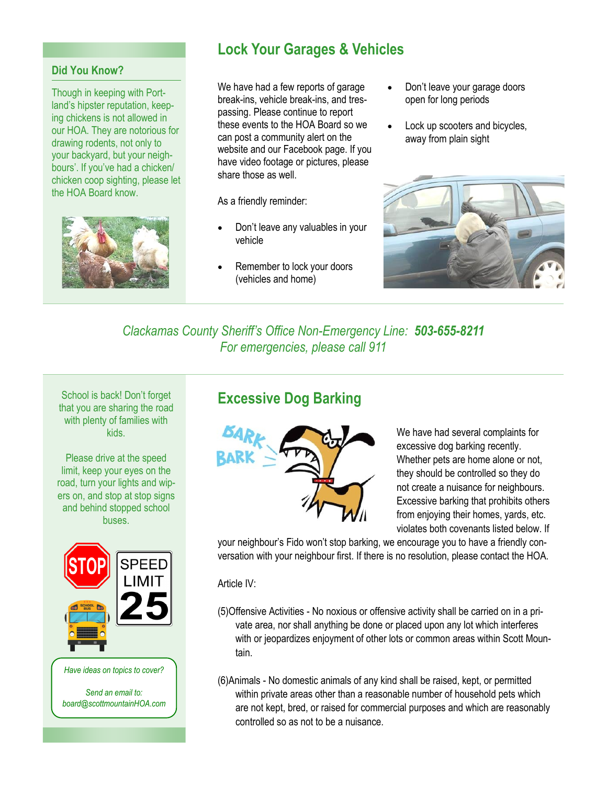#### **Did You Know?**

Though in keeping with Portland's hipster reputation, keeping chickens is not allowed in our HOA. They are notorious for drawing rodents, not only to your backyard, but your neighbours'. If you've had a chicken/ chicken coop sighting, please let the HOA Board know.



# **Lock Your Garages & Vehicles**

We have had a few reports of garage break-ins, vehicle break-ins, and trespassing. Please continue to report these events to the HOA Board so we can post a community alert on the website and our Facebook page. If you have video footage or pictures, please share those as well.

As a friendly reminder:

- Don't leave any valuables in your vehicle
- Remember to lock your doors (vehicles and home)
- Don't leave your garage doors open for long periods
- Lock up scooters and bicycles, away from plain sight



*Clackamas County Sheriff's Office Non-Emergency Line: 503-655-8211 For emergencies, please call 911*

School is back! Don't forget that you are sharing the road with plenty of families with kids.

Please drive at the speed limit, keep your eyes on the road, turn your lights and wipers on, and stop at stop signs and behind stopped school **buses** 



*Have ideas on topics to cover?* 

*Send an email to: board@scottmountainHOA.com*

## **Excessive Dog Barking**



We have had several complaints for excessive dog barking recently. Whether pets are home alone or not, they should be controlled so they do not create a nuisance for neighbours. Excessive barking that prohibits others from enjoying their homes, yards, etc. violates both covenants listed below. If

your neighbour's Fido won't stop barking, we encourage you to have a friendly conversation with your neighbour first. If there is no resolution, please contact the HOA.

Article IV:

- (5)Offensive Activities No noxious or offensive activity shall be carried on in a private area, nor shall anything be done or placed upon any lot which interferes with or jeopardizes enjoyment of other lots or common areas within Scott Mountain.
- (6)Animals No domestic animals of any kind shall be raised, kept, or permitted within private areas other than a reasonable number of household pets which are not kept, bred, or raised for commercial purposes and which are reasonably controlled so as not to be a nuisance.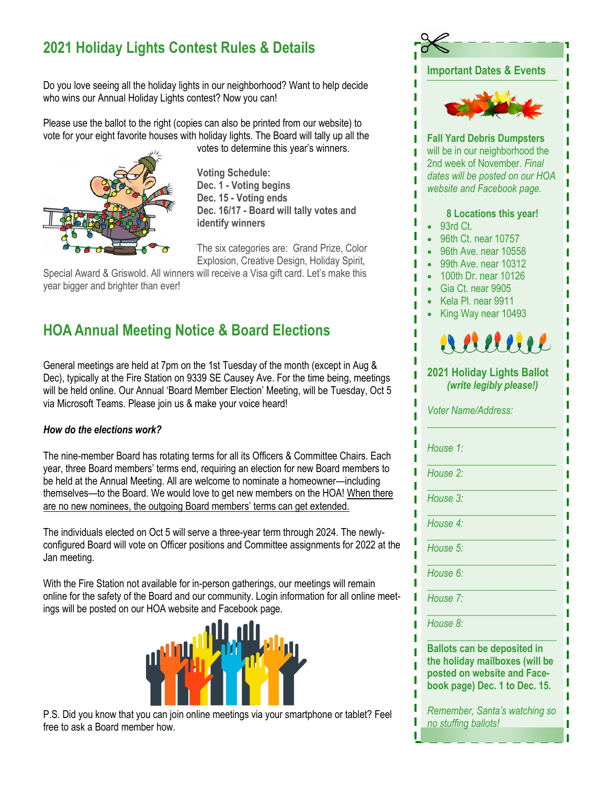# **2021 Holiday Lights Contest Rules & Details**

Do you love seeing all the holiday lights in our neighborhood? Want to help decide who wins our Annual Holiday Lights contest? Now you can!

Please use the ballot to the right (copies can also be printed from our website) to vote for your eight favorite houses with holiday lights. The Board will tally up all the



votes to determine this year's winners.

**Voting Schedule: Dec. 1 - Voting begins Dec. 15 - Voting ends Dec. 16/17 - Board will tally votes and identify winners**

The six categories are: Grand Prize, Color Explosion, Creative Design, Holiday Spirit,

Special Award & Griswold. All winners will receive a Visa gift card. Let's make this year bigger and brighter than ever!

# **HOA Annual Meeting Notice & Board Elections**

General meetings are held at 7pm on the 1st Tuesday of the month (except in Aug & Dec), typically at the Fire Station on 9339 SE Causey Ave. For the time being, meetings will be held online. Our Annual 'Board Member Election' Meeting, will be Tuesday, Oct 5 via Microsoft Teams. Please join us & make your voice heard!

#### *How do the elections work?*

The nine-member Board has rotating terms for all its Officers & Committee Chairs. Each year, three Board members' terms end, requiring an election for new Board members to be held at the Annual Meeting. All are welcome to nominate a homeowner—including themselves—to the Board. We would love to get new members on the HOA! When there are no new nominees, the outgoing Board members' terms can get extended.

The individuals elected on Oct 5 will serve a three-year term through 2024. The newlyconfigured Board will vote on Officer positions and Committee assignments for 2022 at the Jan meeting.

With the Fire Station not available for in-person gatherings, our meetings will remain online for the safety of the Board and our community. Login information for all online meetings will be posted on our HOA website and Facebook page.



P.S. Did you know that you can join online meetings via your smartphone or tablet? Feel free to ask a Board member how.



1

ī ī I ī Ī

ī ī Ī п ī

T I

П

ī

ı

ı п П Ī

п

ī ı ī

п ī ī

П ī П п

П ī п ī ī П ī T ī П Ī

ī ī T Ï ī I П